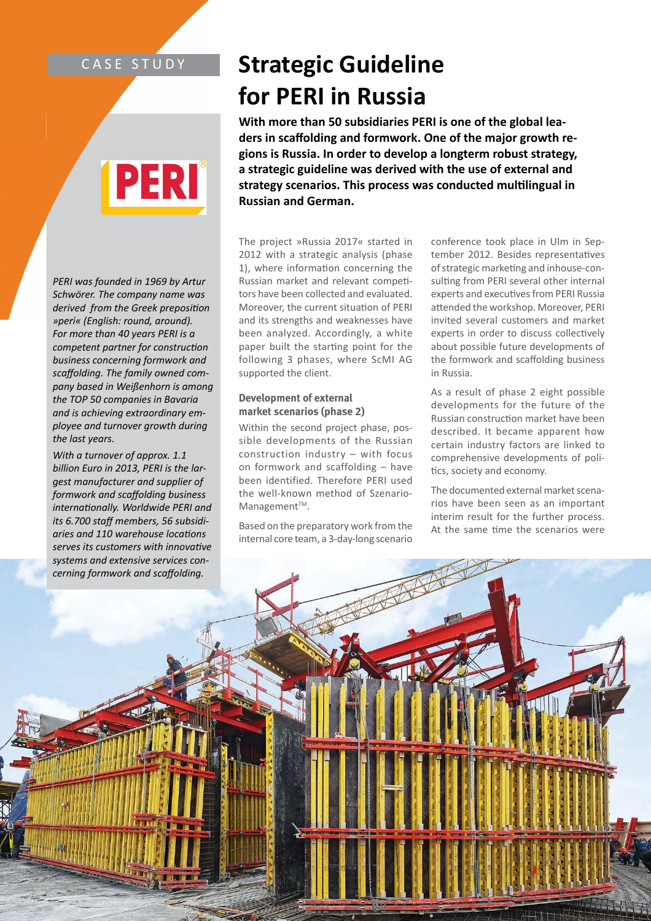### CASE STUDY

# 2531

*PERI was founded in 1969 by Artur Schwörer. The company name was*  derived from the Greek preposition *»peri« (English: round, around). For more than 40 years PERI is a competent partner for construction business concerning formwork and scaff olding. The family owned company based in Weißenhorn is among the TOP 50 companies in Bavaria and is achieving extraordinary employee and turnover growth during the last years.*

*With a turnover of approx. 1.1 billion Euro in 2013, PERI is the largest manufacturer and supplier of formwork and scaff olding business internationally. Worldwide PERI and its 6.700 staff members, 56 subsidiaries and 110 warehouse locations serves its customers with innovative systems and extensive services concerning formwork and scaff olding.*

## **Strategic Guideline for PERI in Russia**

**With more than 50 subsidiaries PERI is one of the global lea**ders in scaffolding and formwork. One of the major growth re**gions is Russia. In order to develop a longterm robust strategy, a strategic guideline was derived with the use of external and**  strategy scenarios. This process was conducted multilingual in **Russian and German.**

The project »Russia 2017« started in 2012 with a strategic analysis (phase 1), where information concerning the Russian market and relevant competitors have been collected and evaluated. Moreover, the current situation of PERI and its strengths and weaknesses have been analyzed. Accordingly, a white paper built the starting point for the following 3 phases, where ScMI AG supported the client.

#### **Development of external market scenarios (phase 2)**

Within the second project phase, possible developments of the Russian construction industry – with focus on formwork and scaffolding – have been identified. Therefore PERI used the well-known method of Szenario-Management<sup>™</sup>.

Based on the preparatory work from the internal core team, a 3-day-long scenario

conference took place in Ulm in September 2012. Besides representatives of strategic marketing and inhouse-consulting from PERI several other internal experts and executives from PERI Russia attended the workshop. Moreover, PERI invited several customers and market experts in order to discuss collectively about possible future developments of the formwork and scaffolding business in Russia.

As a result of phase 2 eight possible developments for the future of the Russian construction market have been described. It became apparent how certain industry factors are linked to comprehensive developments of poli tics, society and economy.

The documented external market scenarios have been seen as an important interim result for the further process. At the same time the scenarios were